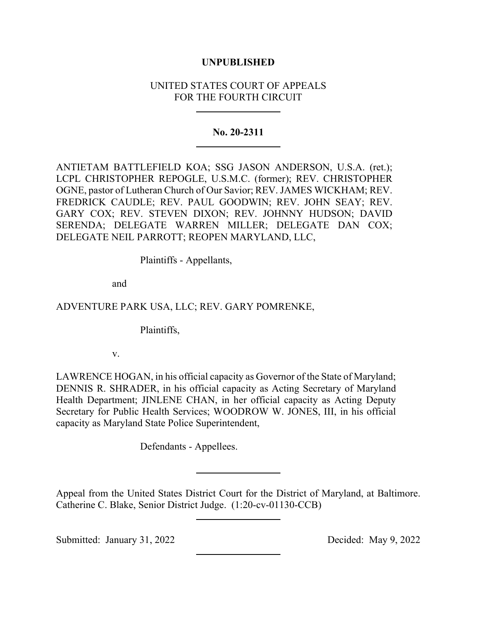## **UNPUBLISHED**

# UNITED STATES COURT OF APPEALS FOR THE FOURTH CIRCUIT

### **No. 20-2311**

ANTIETAM BATTLEFIELD KOA; SSG JASON ANDERSON, U.S.A. (ret.); LCPL CHRISTOPHER REPOGLE, U.S.M.C. (former); REV. CHRISTOPHER OGNE, pastor of Lutheran Church of Our Savior; REV. JAMES WICKHAM; REV. FREDRICK CAUDLE; REV. PAUL GOODWIN; REV. JOHN SEAY; REV. GARY COX; REV. STEVEN DIXON; REV. JOHNNY HUDSON; DAVID SERENDA; DELEGATE WARREN MILLER; DELEGATE DAN COX; DELEGATE NEIL PARROTT; REOPEN MARYLAND, LLC,

Plaintiffs - Appellants,

and

## ADVENTURE PARK USA, LLC; REV. GARY POMRENKE,

Plaintiffs,

v.

LAWRENCE HOGAN, in his official capacity as Governor of the State of Maryland; DENNIS R. SHRADER, in his official capacity as Acting Secretary of Maryland Health Department; JINLENE CHAN, in her official capacity as Acting Deputy Secretary for Public Health Services; WOODROW W. JONES, III, in his official capacity as Maryland State Police Superintendent,

Defendants - Appellees.

Appeal from the United States District Court for the District of Maryland, at Baltimore. Catherine C. Blake, Senior District Judge. (1:20-cv-01130-CCB)

Submitted: January 31, 2022 Decided: May 9, 2022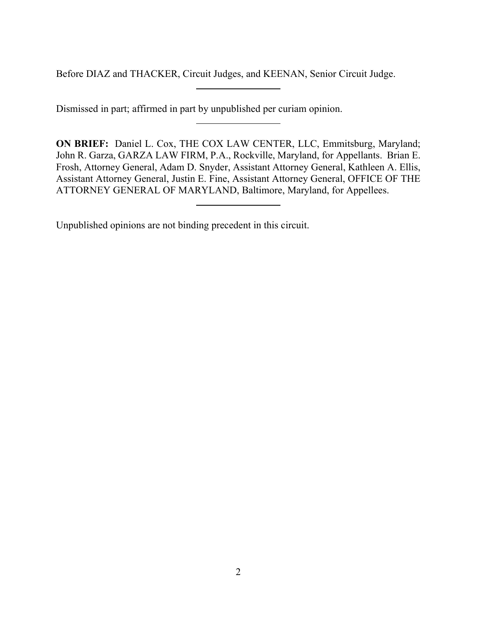Before DIAZ and THACKER, Circuit Judges, and KEENAN, Senior Circuit Judge.

Dismissed in part; affirmed in part by unpublished per curiam opinion.

**ON BRIEF:** Daniel L. Cox, THE COX LAW CENTER, LLC, Emmitsburg, Maryland; John R. Garza, GARZA LAW FIRM, P.A., Rockville, Maryland, for Appellants. Brian E. Frosh, Attorney General, Adam D. Snyder, Assistant Attorney General, Kathleen A. Ellis, Assistant Attorney General, Justin E. Fine, Assistant Attorney General, OFFICE OF THE ATTORNEY GENERAL OF MARYLAND, Baltimore, Maryland, for Appellees.

Unpublished opinions are not binding precedent in this circuit.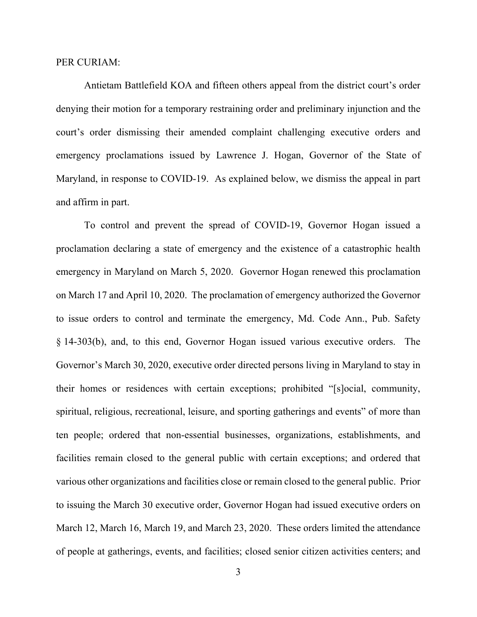#### PER CURIAM:

Antietam Battlefield KOA and fifteen others appeal from the district court's order denying their motion for a temporary restraining order and preliminary injunction and the court's order dismissing their amended complaint challenging executive orders and emergency proclamations issued by Lawrence J. Hogan, Governor of the State of Maryland, in response to COVID-19. As explained below, we dismiss the appeal in part and affirm in part.

To control and prevent the spread of COVID-19, Governor Hogan issued a proclamation declaring a state of emergency and the existence of a catastrophic health emergency in Maryland on March 5, 2020. Governor Hogan renewed this proclamation on March 17 and April 10, 2020. The proclamation of emergency authorized the Governor to issue orders to control and terminate the emergency, Md. Code Ann., Pub. Safety § 14-303(b), and, to this end, Governor Hogan issued various executive orders. The Governor's March 30, 2020, executive order directed persons living in Maryland to stay in their homes or residences with certain exceptions; prohibited "[s]ocial, community, spiritual, religious, recreational, leisure, and sporting gatherings and events" of more than ten people; ordered that non-essential businesses, organizations, establishments, and facilities remain closed to the general public with certain exceptions; and ordered that various other organizations and facilities close or remain closed to the general public. Prior to issuing the March 30 executive order, Governor Hogan had issued executive orders on March 12, March 16, March 19, and March 23, 2020. These orders limited the attendance of people at gatherings, events, and facilities; closed senior citizen activities centers; and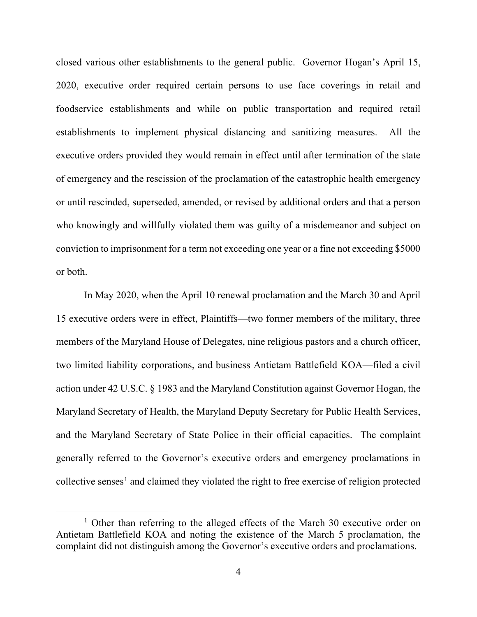closed various other establishments to the general public. Governor Hogan's April 15, 2020, executive order required certain persons to use face coverings in retail and foodservice establishments and while on public transportation and required retail establishments to implement physical distancing and sanitizing measures. All the executive orders provided they would remain in effect until after termination of the state of emergency and the rescission of the proclamation of the catastrophic health emergency or until rescinded, superseded, amended, or revised by additional orders and that a person who knowingly and willfully violated them was guilty of a misdemeanor and subject on conviction to imprisonment for a term not exceeding one year or a fine not exceeding \$5000 or both.

In May 2020, when the April 10 renewal proclamation and the March 30 and April 15 executive orders were in effect, Plaintiffs—two former members of the military, three members of the Maryland House of Delegates, nine religious pastors and a church officer, two limited liability corporations, and business Antietam Battlefield KOA—filed a civil action under 42 U.S.C. § 1983 and the Maryland Constitution against Governor Hogan, the Maryland Secretary of Health, the Maryland Deputy Secretary for Public Health Services, and the Maryland Secretary of State Police in their official capacities. The complaint generally referred to the Governor's executive orders and emergency proclamations in collective senses<sup>[1](#page-3-0)</sup> and claimed they violated the right to free exercise of religion protected

<span id="page-3-0"></span><sup>&</sup>lt;sup>1</sup> Other than referring to the alleged effects of the March 30 executive order on Antietam Battlefield KOA and noting the existence of the March 5 proclamation, the complaint did not distinguish among the Governor's executive orders and proclamations.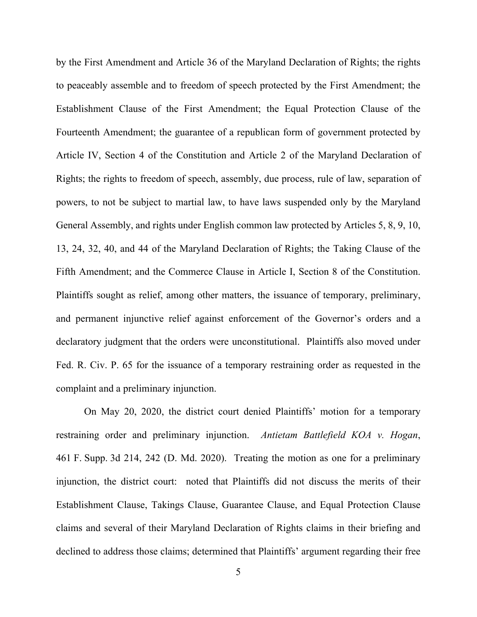by the First Amendment and Article 36 of the Maryland Declaration of Rights; the rights to peaceably assemble and to freedom of speech protected by the First Amendment; the Establishment Clause of the First Amendment; the Equal Protection Clause of the Fourteenth Amendment; the guarantee of a republican form of government protected by Article IV, Section 4 of the Constitution and Article 2 of the Maryland Declaration of Rights; the rights to freedom of speech, assembly, due process, rule of law, separation of powers, to not be subject to martial law, to have laws suspended only by the Maryland General Assembly, and rights under English common law protected by Articles 5, 8, 9, 10, 13, 24, 32, 40, and 44 of the Maryland Declaration of Rights; the Taking Clause of the Fifth Amendment; and the Commerce Clause in Article I, Section 8 of the Constitution. Plaintiffs sought as relief, among other matters, the issuance of temporary, preliminary, and permanent injunctive relief against enforcement of the Governor's orders and a declaratory judgment that the orders were unconstitutional. Plaintiffs also moved under Fed. R. Civ. P. 65 for the issuance of a temporary restraining order as requested in the complaint and a preliminary injunction.

On May 20, 2020, the district court denied Plaintiffs' motion for a temporary restraining order and preliminary injunction. *Antietam Battlefield KOA v. Hogan*, 461 F. Supp. 3d 214, 242 (D. Md. 2020). Treating the motion as one for a preliminary injunction, the district court: noted that Plaintiffs did not discuss the merits of their Establishment Clause, Takings Clause, Guarantee Clause, and Equal Protection Clause claims and several of their Maryland Declaration of Rights claims in their briefing and declined to address those claims; determined that Plaintiffs' argument regarding their free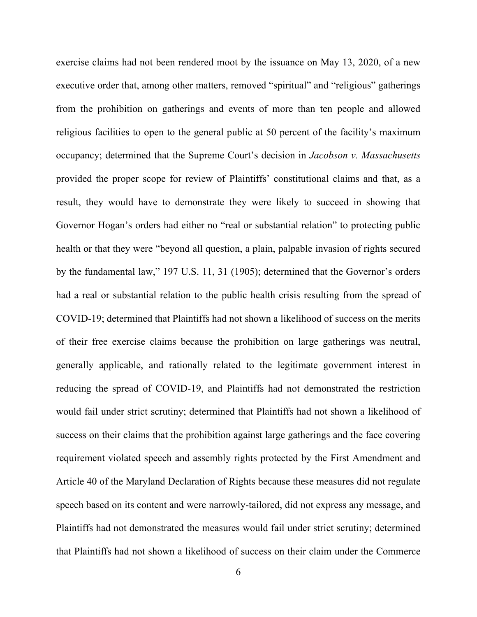exercise claims had not been rendered moot by the issuance on May 13, 2020, of a new executive order that, among other matters, removed "spiritual" and "religious" gatherings from the prohibition on gatherings and events of more than ten people and allowed religious facilities to open to the general public at 50 percent of the facility's maximum occupancy; determined that the Supreme Court's decision in *Jacobson v. Massachusetts* provided the proper scope for review of Plaintiffs' constitutional claims and that, as a result, they would have to demonstrate they were likely to succeed in showing that Governor Hogan's orders had either no "real or substantial relation" to protecting public health or that they were "beyond all question, a plain, palpable invasion of rights secured by the fundamental law," 197 U.S. 11, 31 (1905); determined that the Governor's orders had a real or substantial relation to the public health crisis resulting from the spread of COVID-19; determined that Plaintiffs had not shown a likelihood of success on the merits of their free exercise claims because the prohibition on large gatherings was neutral, generally applicable, and rationally related to the legitimate government interest in reducing the spread of COVID-19, and Plaintiffs had not demonstrated the restriction would fail under strict scrutiny; determined that Plaintiffs had not shown a likelihood of success on their claims that the prohibition against large gatherings and the face covering requirement violated speech and assembly rights protected by the First Amendment and Article 40 of the Maryland Declaration of Rights because these measures did not regulate speech based on its content and were narrowly-tailored, did not express any message, and Plaintiffs had not demonstrated the measures would fail under strict scrutiny; determined that Plaintiffs had not shown a likelihood of success on their claim under the Commerce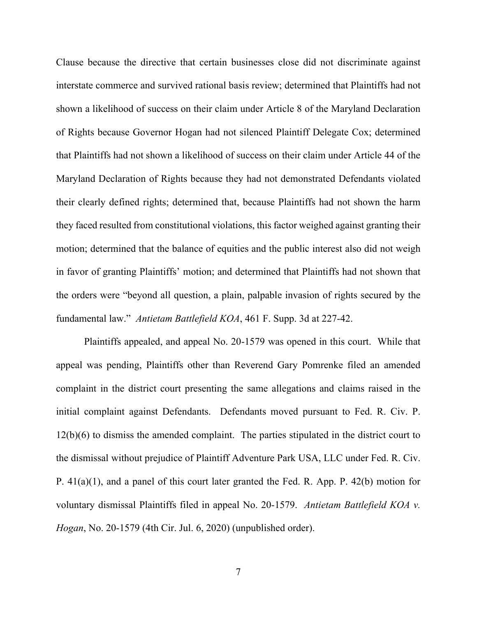Clause because the directive that certain businesses close did not discriminate against interstate commerce and survived rational basis review; determined that Plaintiffs had not shown a likelihood of success on their claim under Article 8 of the Maryland Declaration of Rights because Governor Hogan had not silenced Plaintiff Delegate Cox; determined that Plaintiffs had not shown a likelihood of success on their claim under Article 44 of the Maryland Declaration of Rights because they had not demonstrated Defendants violated their clearly defined rights; determined that, because Plaintiffs had not shown the harm they faced resulted from constitutional violations, this factor weighed against granting their motion; determined that the balance of equities and the public interest also did not weigh in favor of granting Plaintiffs' motion; and determined that Plaintiffs had not shown that the orders were "beyond all question, a plain, palpable invasion of rights secured by the fundamental law." *Antietam Battlefield KOA*, 461 F. Supp. 3d at 227-42.

Plaintiffs appealed, and appeal No. 20-1579 was opened in this court. While that appeal was pending, Plaintiffs other than Reverend Gary Pomrenke filed an amended complaint in the district court presenting the same allegations and claims raised in the initial complaint against Defendants. Defendants moved pursuant to Fed. R. Civ. P. 12(b)(6) to dismiss the amended complaint. The parties stipulated in the district court to the dismissal without prejudice of Plaintiff Adventure Park USA, LLC under Fed. R. Civ. P. 41(a)(1), and a panel of this court later granted the Fed. R. App. P. 42(b) motion for voluntary dismissal Plaintiffs filed in appeal No. 20-1579. *Antietam Battlefield KOA v. Hogan*, No. 20-1579 (4th Cir. Jul. 6, 2020) (unpublished order).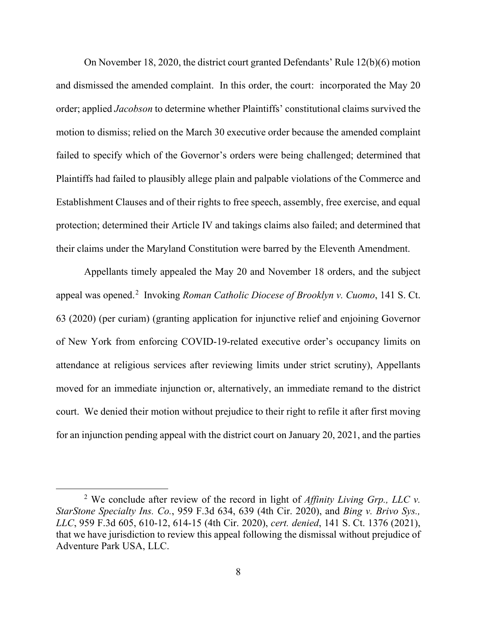On November 18, 2020, the district court granted Defendants' Rule 12(b)(6) motion and dismissed the amended complaint. In this order, the court: incorporated the May 20 order; applied *Jacobson* to determine whether Plaintiffs' constitutional claims survived the motion to dismiss; relied on the March 30 executive order because the amended complaint failed to specify which of the Governor's orders were being challenged; determined that Plaintiffs had failed to plausibly allege plain and palpable violations of the Commerce and Establishment Clauses and of their rights to free speech, assembly, free exercise, and equal protection; determined their Article IV and takings claims also failed; and determined that their claims under the Maryland Constitution were barred by the Eleventh Amendment.

Appellants timely appealed the May 20 and November 18 orders, and the subject appeal was opened.<sup>[2](#page-7-0)</sup> Invoking *Roman Catholic Diocese of Brooklyn v. Cuomo*, 141 S. Ct. 63 (2020) (per curiam) (granting application for injunctive relief and enjoining Governor of New York from enforcing COVID-19-related executive order's occupancy limits on attendance at religious services after reviewing limits under strict scrutiny), Appellants moved for an immediate injunction or, alternatively, an immediate remand to the district court. We denied their motion without prejudice to their right to refile it after first moving for an injunction pending appeal with the district court on January 20, 2021, and the parties

<span id="page-7-0"></span><sup>2</sup> We conclude after review of the record in light of *Affinity Living Grp., LLC v. StarStone Specialty Ins. Co.*, 959 F.3d 634, 639 (4th Cir. 2020), and *Bing v. Brivo Sys., LLC*, 959 F.3d 605, 610-12, 614-15 (4th Cir. 2020), *cert. denied*, 141 S. Ct. 1376 (2021), that we have jurisdiction to review this appeal following the dismissal without prejudice of Adventure Park USA, LLC.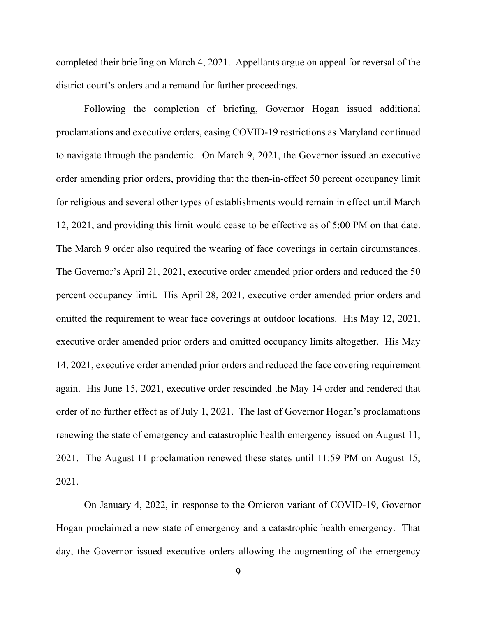completed their briefing on March 4, 2021. Appellants argue on appeal for reversal of the district court's orders and a remand for further proceedings.

Following the completion of briefing, Governor Hogan issued additional proclamations and executive orders, easing COVID-19 restrictions as Maryland continued to navigate through the pandemic. On March 9, 2021, the Governor issued an executive order amending prior orders, providing that the then-in-effect 50 percent occupancy limit for religious and several other types of establishments would remain in effect until March 12, 2021, and providing this limit would cease to be effective as of 5:00 PM on that date. The March 9 order also required the wearing of face coverings in certain circumstances. The Governor's April 21, 2021, executive order amended prior orders and reduced the 50 percent occupancy limit. His April 28, 2021, executive order amended prior orders and omitted the requirement to wear face coverings at outdoor locations. His May 12, 2021, executive order amended prior orders and omitted occupancy limits altogether. His May 14, 2021, executive order amended prior orders and reduced the face covering requirement again. His June 15, 2021, executive order rescinded the May 14 order and rendered that order of no further effect as of July 1, 2021. The last of Governor Hogan's proclamations renewing the state of emergency and catastrophic health emergency issued on August 11, 2021. The August 11 proclamation renewed these states until 11:59 PM on August 15, 2021.

On January 4, 2022, in response to the Omicron variant of COVID-19, Governor Hogan proclaimed a new state of emergency and a catastrophic health emergency. That day, the Governor issued executive orders allowing the augmenting of the emergency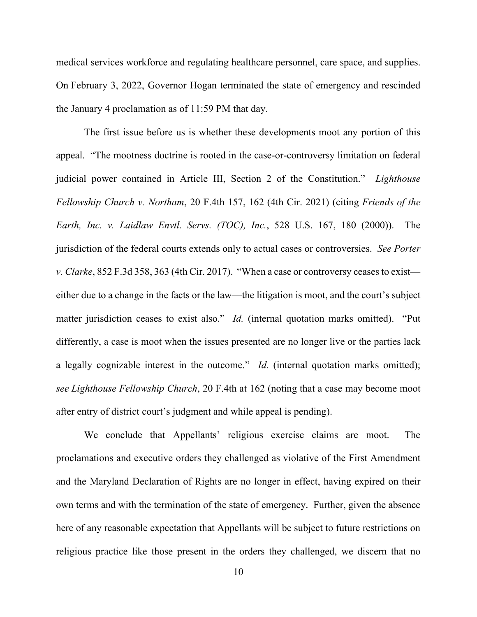medical services workforce and regulating healthcare personnel, care space, and supplies. On February 3, 2022, Governor Hogan terminated the state of emergency and rescinded the January 4 proclamation as of 11:59 PM that day.

The first issue before us is whether these developments moot any portion of this appeal. "The mootness doctrine is rooted in the case-or-controversy limitation on federal judicial power contained in Article III, Section 2 of the Constitution." *Lighthouse Fellowship Church v. Northam*, 20 F.4th 157, 162 (4th Cir. 2021) (citing *Friends of the Earth, Inc. v. Laidlaw Envtl. Servs. (TOC), Inc.*, 528 U.S. 167, 180 (2000)). The jurisdiction of the federal courts extends only to actual cases or controversies. *See Porter v. Clarke*, 852 F.3d 358, 363 (4th Cir. 2017). "When a case or controversy ceases to exist either due to a change in the facts or the law—the litigation is moot, and the court's subject matter jurisdiction ceases to exist also." *Id.* (internal quotation marks omitted). "Put differently, a case is moot when the issues presented are no longer live or the parties lack a legally cognizable interest in the outcome." *Id.* (internal quotation marks omitted); *see Lighthouse Fellowship Church*, 20 F.4th at 162 (noting that a case may become moot after entry of district court's judgment and while appeal is pending).

We conclude that Appellants' religious exercise claims are moot. The proclamations and executive orders they challenged as violative of the First Amendment and the Maryland Declaration of Rights are no longer in effect, having expired on their own terms and with the termination of the state of emergency. Further, given the absence here of any reasonable expectation that Appellants will be subject to future restrictions on religious practice like those present in the orders they challenged, we discern that no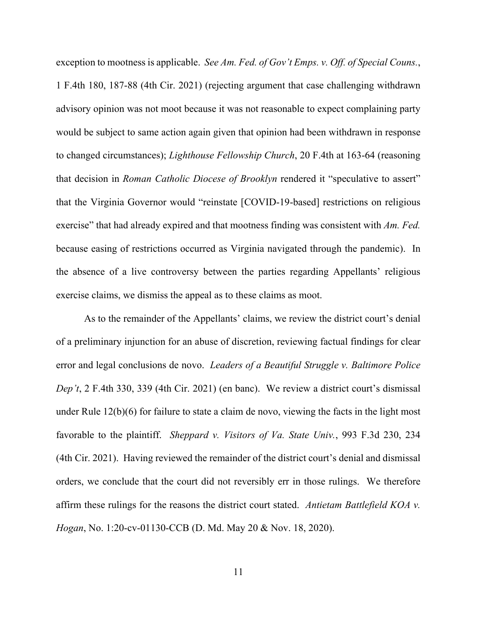exception to mootness is applicable. *See Am. Fed. of Gov't Emps. v. Off. of Special Couns.*, 1 F.4th 180, 187-88 (4th Cir. 2021) (rejecting argument that case challenging withdrawn advisory opinion was not moot because it was not reasonable to expect complaining party would be subject to same action again given that opinion had been withdrawn in response to changed circumstances); *Lighthouse Fellowship Church*, 20 F.4th at 163-64 (reasoning that decision in *Roman Catholic Diocese of Brooklyn* rendered it "speculative to assert" that the Virginia Governor would "reinstate [COVID-19-based] restrictions on religious exercise" that had already expired and that mootness finding was consistent with *Am. Fed.* because easing of restrictions occurred as Virginia navigated through the pandemic). In the absence of a live controversy between the parties regarding Appellants' religious exercise claims, we dismiss the appeal as to these claims as moot.

As to the remainder of the Appellants' claims, we review the district court's denial of a preliminary injunction for an abuse of discretion, reviewing factual findings for clear error and legal conclusions de novo. *Leaders of a Beautiful Struggle v. Baltimore Police Dep't*, 2 F.4th 330, 339 (4th Cir. 2021) (en banc). We review a district court's dismissal under Rule 12(b)(6) for failure to state a claim de novo, viewing the facts in the light most favorable to the plaintiff. *Sheppard v. Visitors of Va. State Univ.*, 993 F.3d 230, 234 (4th Cir. 2021). Having reviewed the remainder of the district court's denial and dismissal orders, we conclude that the court did not reversibly err in those rulings. We therefore affirm these rulings for the reasons the district court stated. *Antietam Battlefield KOA v. Hogan*, No. 1:20-cv-01130-CCB (D. Md. May 20 & Nov. 18, 2020).